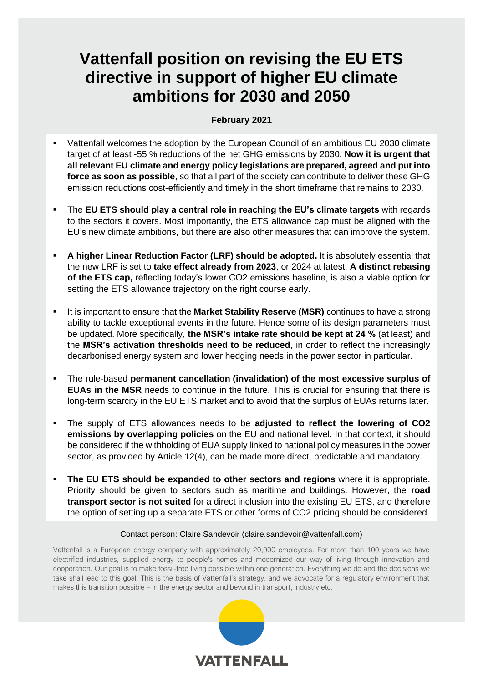# **Vattenfall position on revising the EU ETS directive in support of higher EU climate ambitions for 2030 and 2050**

#### **February 2021**

- Vattenfall welcomes the adoption by the European Council of an ambitious EU 2030 climate target of at least -55 % reductions of the net GHG emissions by 2030. **Now it is urgent that all relevant EU climate and energy policy legislations are prepared, agreed and put into force as soon as possible**, so that all part of the society can contribute to deliver these GHG emission reductions cost-efficiently and timely in the short timeframe that remains to 2030.
- The **EU ETS should play a central role in reaching the EU's climate targets** with regards to the sectors it covers. Most importantly, the ETS allowance cap must be aligned with the EU's new climate ambitions, but there are also other measures that can improve the system.
- A higher Linear Reduction Factor (LRF) should be adopted. It is absolutely essential that the new LRF is set to **take effect already from 2023**, or 2024 at latest. **A distinct rebasing of the ETS cap,** reflecting today's lower CO2 emissions baseline, is also a viable option for setting the ETS allowance trajectory on the right course early.
- It is important to ensure that the **Market Stability Reserve (MSR)** continues to have a strong ability to tackle exceptional events in the future. Hence some of its design parameters must be updated. More specifically, **the MSR's intake rate should be kept at 24 %** (at least) and the **MSR's activation thresholds need to be reduced**, in order to reflect the increasingly decarbonised energy system and lower hedging needs in the power sector in particular.
- The rule-based **permanent cancellation (invalidation) of the most excessive surplus of EUAs in the MSR** needs to continue in the future. This is crucial for ensuring that there is long-term scarcity in the EU ETS market and to avoid that the surplus of EUAs returns later.
- The supply of ETS allowances needs to be **adjusted to reflect the lowering of CO2 emissions by overlapping policies** on the EU and national level. In that context, it should be considered if the withholding of EUA supply linked to national policy measures in the power sector, as provided by Article 12(4), can be made more direct, predictable and mandatory.
- **The EU ETS should be expanded to other sectors and regions** where it is appropriate. Priority should be given to sectors such as maritime and buildings. However, the **road transport sector is not suited** for a direct inclusion into the existing EU ETS, and therefore the option of setting up a separate ETS or other forms of CO2 pricing should be considered.

#### Contact person: Claire Sandevoir (claire.sandevoir@vattenfall.com)

Vattenfall is a European energy company with approximately 20,000 employees. For more than 100 years we have electrified industries, supplied energy to people's homes and modernized our way of living through innovation and cooperation. Our goal is to make fossil-free living possible within one generation. Everything we do and the decisions we take shall lead to this goal. This is the basis of Vattenfall's strategy, and we advocate for a regulatory environment that makes this transition possible – in the energy sector and beyond in transport, industry etc.

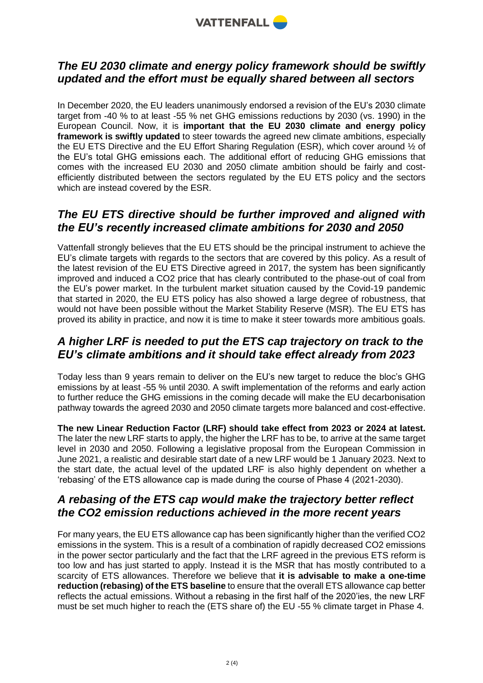

#### *The EU 2030 climate and energy policy framework should be swiftly updated and the effort must be equally shared between all sectors*

In December 2020, the EU leaders unanimously endorsed a revision of the EU's 2030 climate target from -40 % to at least -55 % net GHG emissions reductions by 2030 (vs. 1990) in the European Council. Now, it is **important that the EU 2030 climate and energy policy framework is swiftly updated** to steer towards the agreed new climate ambitions, especially the EU ETS Directive and the EU Effort Sharing Regulation (ESR), which cover around ½ of the EU's total GHG emissions each. The additional effort of reducing GHG emissions that comes with the increased EU 2030 and 2050 climate ambition should be fairly and costefficiently distributed between the sectors regulated by the EU ETS policy and the sectors which are instead covered by the ESR.

#### *The EU ETS directive should be further improved and aligned with the EU's recently increased climate ambitions for 2030 and 2050*

Vattenfall strongly believes that the EU ETS should be the principal instrument to achieve the EU's climate targets with regards to the sectors that are covered by this policy. As a result of the latest revision of the EU ETS Directive agreed in 2017, the system has been significantly improved and induced a CO2 price that has clearly contributed to the phase-out of coal from the EU's power market. In the turbulent market situation caused by the Covid-19 pandemic that started in 2020, the EU ETS policy has also showed a large degree of robustness, that would not have been possible without the Market Stability Reserve (MSR). The EU ETS has proved its ability in practice, and now it is time to make it steer towards more ambitious goals.

#### *A higher LRF is needed to put the ETS cap trajectory on track to the EU's climate ambitions and it should take effect already from 2023*

Today less than 9 years remain to deliver on the EU's new target to reduce the bloc's GHG emissions by at least -55 % until 2030. A swift implementation of the reforms and early action to further reduce the GHG emissions in the coming decade will make the EU decarbonisation pathway towards the agreed 2030 and 2050 climate targets more balanced and cost-effective.

**The new Linear Reduction Factor (LRF) should take effect from 2023 or 2024 at latest.** The later the new LRF starts to apply, the higher the LRF has to be, to arrive at the same target level in 2030 and 2050. Following a legislative proposal from the European Commission in June 2021, a realistic and desirable start date of a new LRF would be 1 January 2023. Next to the start date, the actual level of the updated LRF is also highly dependent on whether a 'rebasing' of the ETS allowance cap is made during the course of Phase 4 (2021-2030).

#### *A rebasing of the ETS cap would make the trajectory better reflect the CO2 emission reductions achieved in the more recent years*

For many years, the EU ETS allowance cap has been significantly higher than the verified CO2 emissions in the system. This is a result of a combination of rapidly decreased CO2 emissions in the power sector particularly and the fact that the LRF agreed in the previous ETS reform is too low and has just started to apply. Instead it is the MSR that has mostly contributed to a scarcity of ETS allowances. Therefore we believe that **it is advisable to make a one-time reduction (rebasing) of the ETS baseline** to ensure that the overall ETS allowance cap better reflects the actual emissions. Without a rebasing in the first half of the 2020'ies, the new LRF must be set much higher to reach the (ETS share of) the EU -55 % climate target in Phase 4.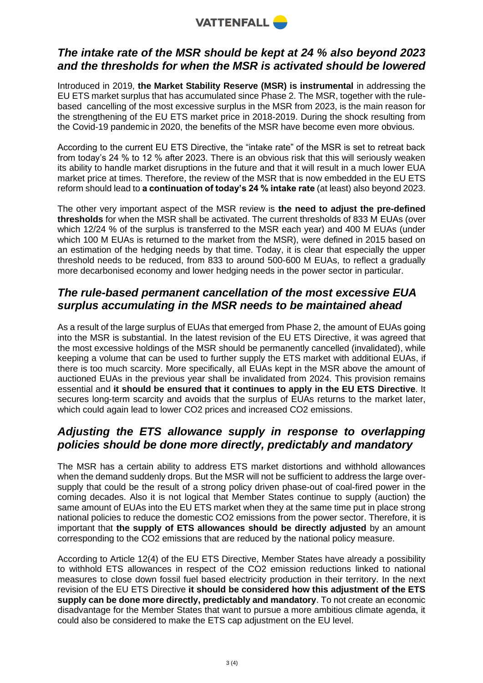

#### *The intake rate of the MSR should be kept at 24 % also beyond 2023 and the thresholds for when the MSR is activated should be lowered*

Introduced in 2019, **the Market Stability Reserve (MSR) is instrumental** in addressing the EU ETS market surplus that has accumulated since Phase 2. The MSR, together with the rulebased cancelling of the most excessive surplus in the MSR from 2023, is the main reason for the strengthening of the EU ETS market price in 2018-2019. During the shock resulting from the Covid-19 pandemic in 2020, the benefits of the MSR have become even more obvious.

According to the current EU ETS Directive, the "intake rate" of the MSR is set to retreat back from today's 24 % to 12 % after 2023. There is an obvious risk that this will seriously weaken its ability to handle market disruptions in the future and that it will result in a much lower EUA market price at times. Therefore, the review of the MSR that is now embedded in the EU ETS reform should lead to **a continuation of today's 24 % intake rate** (at least) also beyond 2023.

The other very important aspect of the MSR review is **the need to adjust the pre-defined thresholds** for when the MSR shall be activated. The current thresholds of 833 M EUAs (over which 12/24 % of the surplus is transferred to the MSR each year) and 400 M EUAs (under which 100 M EUAs is returned to the market from the MSR), were defined in 2015 based on an estimation of the hedging needs by that time. Today, it is clear that especially the upper threshold needs to be reduced, from 833 to around 500-600 M EUAs, to reflect a gradually more decarbonised economy and lower hedging needs in the power sector in particular.

### *The rule-based permanent cancellation of the most excessive EUA surplus accumulating in the MSR needs to be maintained ahead*

As a result of the large surplus of EUAs that emerged from Phase 2, the amount of EUAs going into the MSR is substantial. In the latest revision of the EU ETS Directive, it was agreed that the most excessive holdings of the MSR should be permanently cancelled (invalidated), while keeping a volume that can be used to further supply the ETS market with additional EUAs, if there is too much scarcity. More specifically, all EUAs kept in the MSR above the amount of auctioned EUAs in the previous year shall be invalidated from 2024. This provision remains essential and **it should be ensured that it continues to apply in the EU ETS Directive**. It secures long-term scarcity and avoids that the surplus of EUAs returns to the market later, which could again lead to lower CO2 prices and increased CO2 emissions.

#### *Adjusting the ETS allowance supply in response to overlapping policies should be done more directly, predictably and mandatory*

The MSR has a certain ability to address ETS market distortions and withhold allowances when the demand suddenly drops. But the MSR will not be sufficient to address the large oversupply that could be the result of a strong policy driven phase-out of coal-fired power in the coming decades. Also it is not logical that Member States continue to supply (auction) the same amount of EUAs into the EU ETS market when they at the same time put in place strong national policies to reduce the domestic CO2 emissions from the power sector. Therefore, it is important that **the supply of ETS allowances should be directly adjusted** by an amount corresponding to the CO2 emissions that are reduced by the national policy measure.

According to Article 12(4) of the EU ETS Directive, Member States have already a possibility to withhold ETS allowances in respect of the CO2 emission reductions linked to national measures to close down fossil fuel based electricity production in their territory. In the next revision of the EU ETS Directive **it should be considered how this adjustment of the ETS supply can be done more directly, predictably and mandatory**. To not create an economic disadvantage for the Member States that want to pursue a more ambitious climate agenda, it could also be considered to make the ETS cap adjustment on the EU level.